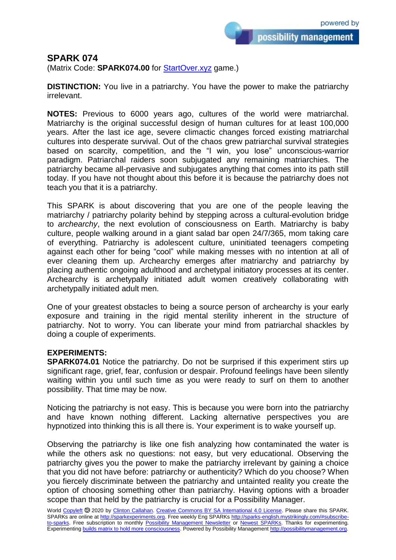possibility management

## **SPARK 074**

(Matrix Code: **SPARK074.00** for [StartOver.xyz](https://startoverxyz.mystrikingly.com/) game.)

**DISTINCTION:** You live in a patriarchy. You have the power to make the patriarchy irrelevant.

**NOTES:** Previous to 6000 years ago, cultures of the world were matriarchal. Matriarchy is the original successful design of human cultures for at least 100,000 years. After the last ice age, severe climactic changes forced existing matriarchal cultures into desperate survival. Out of the chaos grew patriarchal survival strategies based on scarcity, competition, and the "I win, you lose" unconscious-warrior paradigm. Patriarchal raiders soon subjugated any remaining matriarchies. The patriarchy became all-pervasive and subjugates anything that comes into its path still today. If you have not thought about this before it is because the patriarchy does not teach you that it is a patriarchy.

This SPARK is about discovering that you are one of the people leaving the matriarchy / patriarchy polarity behind by stepping across a cultural-evolution bridge to *archearchy*, the next evolution of consciousness on Earth. Matriarchy is baby culture, people walking around in a giant salad bar open 24/7/365, mom taking care of everything. Patriarchy is adolescent culture, uninitiated teenagers competing against each other for being "cool" while making messes with no intention at all of ever cleaning them up. Archearchy emerges after matriarchy and patriarchy by placing authentic ongoing adulthood and archetypal initiatory processes at its center. Archearchy is archetypally initiated adult women creatively collaborating with archetypally initiated adult men.

One of your greatest obstacles to being a source person of archearchy is your early exposure and training in the rigid mental sterility inherent in the structure of patriarchy. Not to worry. You can liberate your mind from patriarchal shackles by doing a couple of experiments.

## **EXPERIMENTS:**

**SPARK074.01** Notice the patriarchy. Do not be surprised if this experiment stirs up significant rage, grief, fear, confusion or despair. Profound feelings have been silently waiting within you until such time as you were ready to surf on them to another possibility. That time may be now.

Noticing the patriarchy is not easy. This is because you were born into the patriarchy and have known nothing different. Lacking alternative perspectives you are hypnotized into thinking this is all there is. Your experiment is to wake yourself up.

Observing the patriarchy is like one fish analyzing how contaminated the water is while the others ask no questions: not easy, but very educational. Observing the patriarchy gives you the power to make the patriarchy irrelevant by gaining a choice that you did not have before: patriarchy or authenticity? Which do you choose? When you fiercely discriminate between the patriarchy and untainted reality you create the option of choosing something other than patriarchy. Having options with a broader scope than that held by the patriarchy is crucial for a Possibility Manager.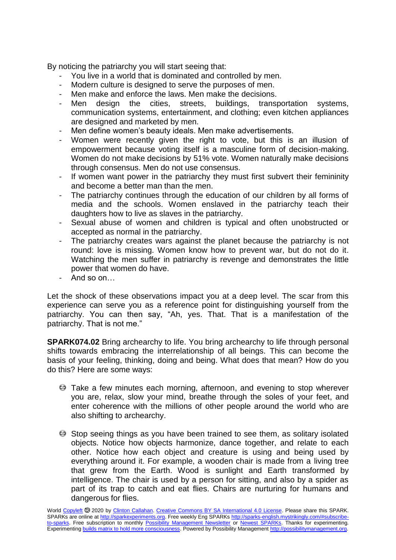By noticing the patriarchy you will start seeing that:

- You live in a world that is dominated and controlled by men.
- Modern culture is designed to serve the purposes of men.
- Men make and enforce the laws. Men make the decisions.
- Men design the cities, streets, buildings, transportation systems, communication systems, entertainment, and clothing; even kitchen appliances are designed and marketed by men.
- Men define women's beauty ideals. Men make advertisements.
- Women were recently given the right to vote, but this is an illusion of empowerment because voting itself is a masculine form of decision-making. Women do not make decisions by 51% vote. Women naturally make decisions through consensus. Men do not use consensus.
- If women want power in the patriarchy they must first subvert their femininity and become a better man than the men.
- The patriarchy continues through the education of our children by all forms of media and the schools. Women enslaved in the patriarchy teach their daughters how to live as slaves in the patriarchy.
- Sexual abuse of women and children is typical and often unobstructed or accepted as normal in the patriarchy.
- The patriarchy creates wars against the planet because the patriarchy is not round: love is missing. Women know how to prevent war, but do not do it. Watching the men suffer in patriarchy is revenge and demonstrates the little power that women do have.
- And so on…

Let the shock of these observations impact you at a deep level. The scar from this experience can serve you as a reference point for distinguishing yourself from the patriarchy. You can then say, "Ah, yes. That. That is a manifestation of the patriarchy. That is not me."

**SPARK074.02** Bring archearchy to life. You bring archearchy to life through personal shifts towards embracing the interrelationship of all beings. This can become the basis of your feeling, thinking, doing and being. What does that mean? How do you do this? Here are some ways:

- Take a few minutes each morning, afternoon, and evening to stop wherever you are, relax, slow your mind, breathe through the soles of your feet, and enter coherence with the millions of other people around the world who are also shifting to archearchy.
- Stop seeing things as you have been trained to see them, as solitary isolated objects. Notice how objects harmonize, dance together, and relate to each other. Notice how each object and creature is using and being used by everything around it. For example, a wooden chair is made from a living tree that grew from the Earth. Wood is sunlight and Earth transformed by intelligence. The chair is used by a person for sitting, and also by a spider as part of its trap to catch and eat flies. Chairs are nurturing for humans and dangerous for flies.